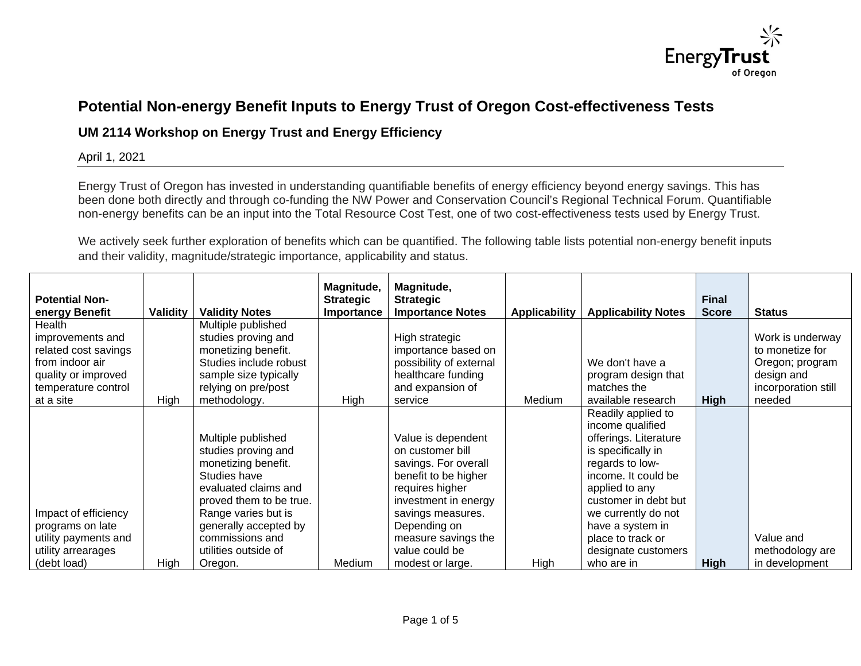

## **Potential Non-energy Benefit Inputs to Energy Trust of Oregon Cost-effectiveness Tests**

## **UM 2114 Workshop on Energy Trust and Energy Efficiency**

## April 1, 2021

Energy Trust of Oregon has invested in understanding quantifiable benefits of energy efficiency beyond energy savings. This has been done both directly and through co-funding the NW Power and Conservation Council's Regional Technical Forum. Quantifiable non-energy benefits can be an input into the Total Resource Cost Test, one of two cost-effectiveness tests used by Energy Trust.

We actively seek further exploration of benefits which can be quantified. The following table lists potential non-energy benefit inputs and their validity, magnitude/strategic importance, applicability and status.

| <b>Potential Non-</b> |                 |                         | Magnitude,<br><b>Strategic</b> | Magnitude,<br><b>Strategic</b> |                      |                            | <b>Final</b> |                     |
|-----------------------|-----------------|-------------------------|--------------------------------|--------------------------------|----------------------|----------------------------|--------------|---------------------|
| energy Benefit        | <b>Validity</b> | <b>Validity Notes</b>   | Importance                     | <b>Importance Notes</b>        | <b>Applicability</b> | <b>Applicability Notes</b> | <b>Score</b> | <b>Status</b>       |
| Health                |                 | Multiple published      |                                |                                |                      |                            |              |                     |
| improvements and      |                 | studies proving and     |                                | High strategic                 |                      |                            |              | Work is underway    |
| related cost savings  |                 | monetizing benefit.     |                                | importance based on            |                      |                            |              | to monetize for     |
| from indoor air       |                 | Studies include robust  |                                | possibility of external        |                      | We don't have a            |              | Oregon; program     |
| quality or improved   |                 | sample size typically   |                                | healthcare funding             |                      | program design that        |              | design and          |
| temperature control   |                 | relying on pre/post     |                                | and expansion of               |                      | matches the                |              | incorporation still |
| at a site             | High            | methodology.            | High                           | service                        | Medium               | available research         | <b>High</b>  | needed              |
|                       |                 |                         |                                |                                |                      | Readily applied to         |              |                     |
|                       |                 |                         |                                |                                |                      | income qualified           |              |                     |
|                       |                 | Multiple published      |                                | Value is dependent             |                      | offerings. Literature      |              |                     |
|                       |                 | studies proving and     |                                | on customer bill               |                      | is specifically in         |              |                     |
|                       |                 | monetizing benefit.     |                                | savings. For overall           |                      | regards to low-            |              |                     |
|                       |                 | Studies have            |                                | benefit to be higher           |                      | income. It could be        |              |                     |
|                       |                 | evaluated claims and    |                                | requires higher                |                      | applied to any             |              |                     |
|                       |                 | proved them to be true. |                                | investment in energy           |                      | customer in debt but       |              |                     |
| Impact of efficiency  |                 | Range varies but is     |                                | savings measures.              |                      | we currently do not        |              |                     |
| programs on late      |                 | generally accepted by   |                                | Depending on                   |                      | have a system in           |              |                     |
| utility payments and  |                 | commissions and         |                                | measure savings the            |                      | place to track or          |              | Value and           |
| utility arrearages    |                 | utilities outside of    |                                | value could be                 |                      | designate customers        |              | methodology are     |
| (debt load)           | High            | Oregon.                 | Medium                         | modest or large.               | High                 | who are in                 | <b>High</b>  | in development      |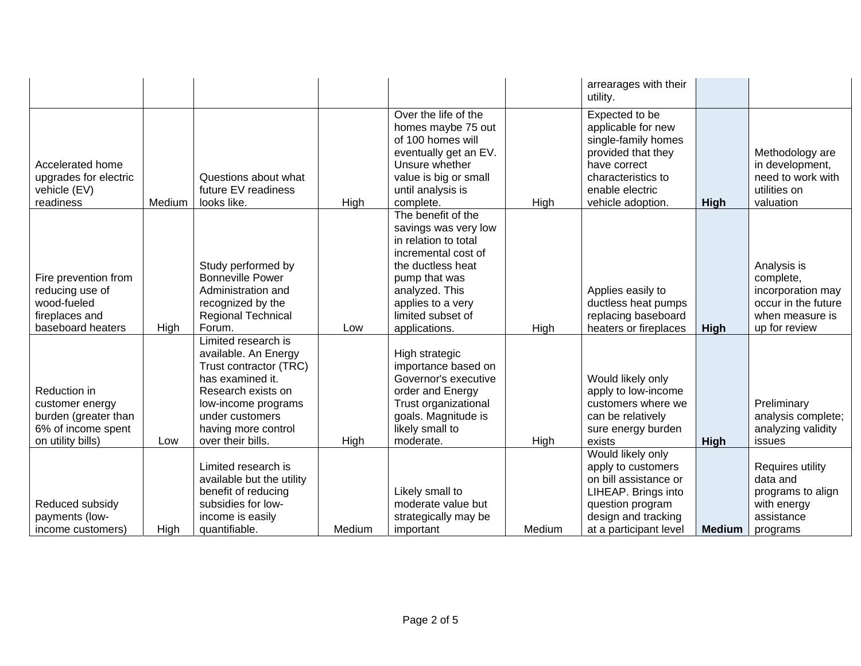|                                                                                                    |        |                                                                                                                                                                                                       |        |                                                                                                                                                                                                              |        | arrearages with their<br>utility.                                                                                                                               |               |                                                                                                          |
|----------------------------------------------------------------------------------------------------|--------|-------------------------------------------------------------------------------------------------------------------------------------------------------------------------------------------------------|--------|--------------------------------------------------------------------------------------------------------------------------------------------------------------------------------------------------------------|--------|-----------------------------------------------------------------------------------------------------------------------------------------------------------------|---------------|----------------------------------------------------------------------------------------------------------|
| Accelerated home<br>upgrades for electric<br>vehicle (EV)<br>readiness                             | Medium | Questions about what<br>future EV readiness<br>looks like.                                                                                                                                            | High   | Over the life of the<br>homes maybe 75 out<br>of 100 homes will<br>eventually get an EV.<br>Unsure whether<br>value is big or small<br>until analysis is<br>complete.                                        | High   | Expected to be<br>applicable for new<br>single-family homes<br>provided that they<br>have correct<br>characteristics to<br>enable electric<br>vehicle adoption. | High          | Methodology are<br>in development,<br>need to work with<br>utilities on<br>valuation                     |
| Fire prevention from<br>reducing use of<br>wood-fueled<br>fireplaces and<br>baseboard heaters      | High   | Study performed by<br><b>Bonneville Power</b><br>Administration and<br>recognized by the<br>Regional Technical<br>Forum.                                                                              | Low    | The benefit of the<br>savings was very low<br>in relation to total<br>incremental cost of<br>the ductless heat<br>pump that was<br>analyzed. This<br>applies to a very<br>limited subset of<br>applications. | High   | Applies easily to<br>ductless heat pumps<br>replacing baseboard<br>heaters or fireplaces                                                                        | High          | Analysis is<br>complete,<br>incorporation may<br>occur in the future<br>when measure is<br>up for review |
| Reduction in<br>customer energy<br>burden (greater than<br>6% of income spent<br>on utility bills) | Low    | Limited research is<br>available. An Energy<br>Trust contractor (TRC)<br>has examined it.<br>Research exists on<br>low-income programs<br>under customers<br>having more control<br>over their bills. | High   | High strategic<br>importance based on<br>Governor's executive<br>order and Energy<br>Trust organizational<br>goals. Magnitude is<br>likely small to<br>moderate.                                             | High   | Would likely only<br>apply to low-income<br>customers where we<br>can be relatively<br>sure energy burden<br>exists                                             | High          | Preliminary<br>analysis complete;<br>analyzing validity<br>issues                                        |
| Reduced subsidy<br>payments (low-<br>income customers)                                             | High   | Limited research is<br>available but the utility<br>benefit of reducing<br>subsidies for low-<br>income is easily<br>quantifiable.                                                                    | Medium | Likely small to<br>moderate value but<br>strategically may be<br>important                                                                                                                                   | Medium | Would likely only<br>apply to customers<br>on bill assistance or<br>LIHEAP. Brings into<br>question program<br>design and tracking<br>at a participant level    | <b>Medium</b> | Requires utility<br>data and<br>programs to align<br>with energy<br>assistance<br>programs               |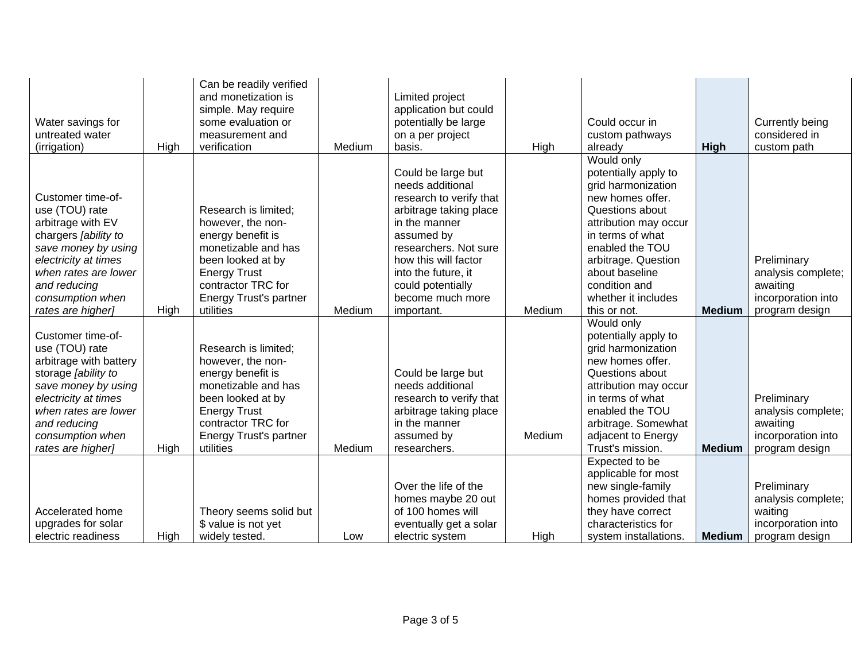| Water savings for<br>untreated water<br>(irrigation) | High | Can be readily verified<br>and monetization is<br>simple. May require<br>some evaluation or<br>measurement and<br>verification | Medium | Limited project<br>application but could<br>potentially be large<br>on a per project<br>basis. | High   | Could occur in<br>custom pathways<br>already             | <b>High</b>   | Currently being<br>considered in<br>custom path |
|------------------------------------------------------|------|--------------------------------------------------------------------------------------------------------------------------------|--------|------------------------------------------------------------------------------------------------|--------|----------------------------------------------------------|---------------|-------------------------------------------------|
|                                                      |      |                                                                                                                                |        | Could be large but<br>needs additional                                                         |        | Would only<br>potentially apply to<br>grid harmonization |               |                                                 |
| Customer time-of-<br>use (TOU) rate                  |      | Research is limited;                                                                                                           |        | research to verify that<br>arbitrage taking place                                              |        | new homes offer.<br>Questions about                      |               |                                                 |
| arbitrage with EV<br>chargers [ability to            |      | however, the non-<br>energy benefit is                                                                                         |        | in the manner<br>assumed by                                                                    |        | attribution may occur<br>in terms of what                |               |                                                 |
| save money by using<br>electricity at times          |      | monetizable and has<br>been looked at by                                                                                       |        | researchers. Not sure<br>how this will factor                                                  |        | enabled the TOU<br>arbitrage. Question                   |               | Preliminary                                     |
| when rates are lower<br>and reducing                 |      | <b>Energy Trust</b><br>contractor TRC for                                                                                      |        | into the future, it<br>could potentially                                                       |        | about baseline<br>condition and                          |               | analysis complete;<br>awaiting                  |
| consumption when                                     |      | Energy Trust's partner                                                                                                         |        | become much more                                                                               |        | whether it includes                                      |               | incorporation into                              |
| rates are higher]                                    | High | utilities                                                                                                                      | Medium | important.                                                                                     | Medium | this or not.                                             | <b>Medium</b> | program design                                  |
|                                                      |      |                                                                                                                                |        |                                                                                                |        | Would only                                               |               |                                                 |
| Customer time-of-                                    |      |                                                                                                                                |        |                                                                                                |        | potentially apply to                                     |               |                                                 |
| use (TOU) rate<br>arbitrage with battery             |      | Research is limited;<br>however, the non-                                                                                      |        |                                                                                                |        | grid harmonization<br>new homes offer.                   |               |                                                 |
| storage [ability to                                  |      | energy benefit is                                                                                                              |        | Could be large but                                                                             |        | Questions about                                          |               |                                                 |
| save money by using                                  |      | monetizable and has                                                                                                            |        | needs additional                                                                               |        | attribution may occur                                    |               |                                                 |
| electricity at times                                 |      | been looked at by                                                                                                              |        | research to verify that                                                                        |        | in terms of what                                         |               | Preliminary                                     |
| when rates are lower                                 |      | <b>Energy Trust</b>                                                                                                            |        | arbitrage taking place                                                                         |        | enabled the TOU                                          |               | analysis complete;                              |
| and reducing                                         |      | contractor TRC for                                                                                                             |        | in the manner                                                                                  |        | arbitrage. Somewhat                                      |               | awaiting                                        |
| consumption when                                     |      | Energy Trust's partner                                                                                                         |        | assumed by                                                                                     | Medium | adjacent to Energy                                       |               | incorporation into                              |
| rates are higher]                                    | High | utilities                                                                                                                      | Medium | researchers.                                                                                   |        | Trust's mission.                                         | <b>Medium</b> | program design                                  |
|                                                      |      |                                                                                                                                |        |                                                                                                |        | Expected to be                                           |               |                                                 |
|                                                      |      |                                                                                                                                |        | Over the life of the                                                                           |        | applicable for most<br>new single-family                 |               | Preliminary                                     |
|                                                      |      |                                                                                                                                |        | homes maybe 20 out                                                                             |        | homes provided that                                      |               | analysis complete;                              |
| Accelerated home                                     |      | Theory seems solid but                                                                                                         |        | of 100 homes will                                                                              |        | they have correct                                        |               | waiting                                         |
| upgrades for solar                                   |      | \$ value is not yet                                                                                                            |        | eventually get a solar                                                                         |        | characteristics for                                      |               | incorporation into                              |
| electric readiness                                   | High | widely tested.                                                                                                                 | Low    | electric system                                                                                | High   | system installations.                                    | <b>Medium</b> | program design                                  |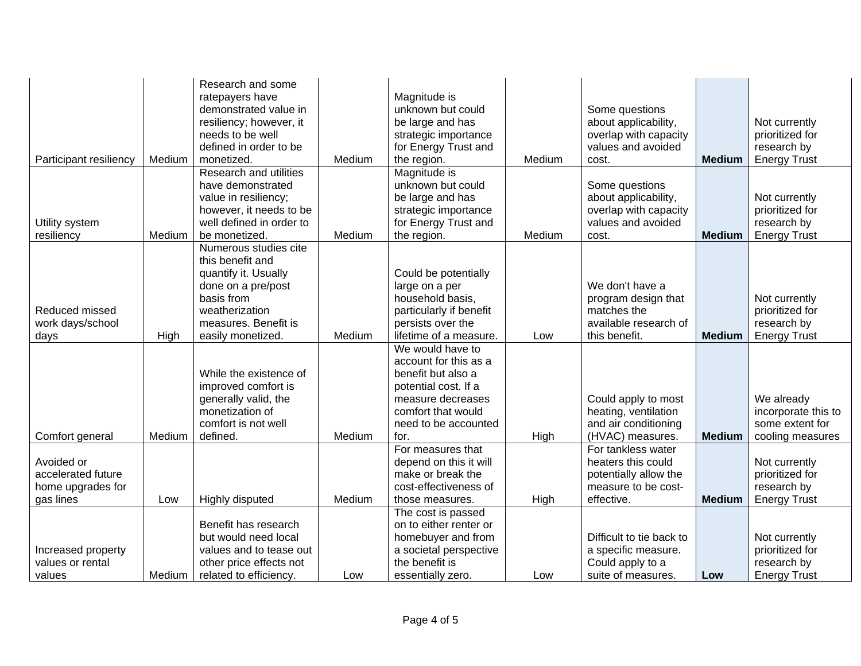| Participant resiliency         | Medium | Research and some<br>ratepayers have<br>demonstrated value in<br>resiliency; however, it<br>needs to be well<br>defined in order to be<br>monetized. | Medium | Magnitude is<br>unknown but could<br>be large and has<br>strategic importance<br>for Energy Trust and<br>the region. | Medium | Some questions<br>about applicability,<br>overlap with capacity<br>values and avoided<br>cost. | <b>Medium</b> | Not currently<br>prioritized for<br>research by<br><b>Energy Trust</b> |
|--------------------------------|--------|------------------------------------------------------------------------------------------------------------------------------------------------------|--------|----------------------------------------------------------------------------------------------------------------------|--------|------------------------------------------------------------------------------------------------|---------------|------------------------------------------------------------------------|
|                                |        | Research and utilities<br>have demonstrated                                                                                                          |        | Magnitude is<br>unknown but could                                                                                    |        | Some questions                                                                                 |               |                                                                        |
|                                |        | value in resiliency;                                                                                                                                 |        | be large and has                                                                                                     |        | about applicability,                                                                           |               | Not currently                                                          |
|                                |        | however, it needs to be                                                                                                                              |        | strategic importance                                                                                                 |        | overlap with capacity                                                                          |               | prioritized for                                                        |
| Utility system                 |        | well defined in order to                                                                                                                             |        | for Energy Trust and                                                                                                 |        | values and avoided                                                                             |               | research by                                                            |
| resiliency                     | Medium | be monetized.                                                                                                                                        | Medium | the region.                                                                                                          | Medium | cost.                                                                                          | <b>Medium</b> | <b>Energy Trust</b>                                                    |
|                                |        | Numerous studies cite                                                                                                                                |        |                                                                                                                      |        |                                                                                                |               |                                                                        |
|                                |        | this benefit and                                                                                                                                     |        |                                                                                                                      |        |                                                                                                |               |                                                                        |
|                                |        | quantify it. Usually<br>done on a pre/post                                                                                                           |        | Could be potentially<br>large on a per                                                                               |        | We don't have a                                                                                |               |                                                                        |
|                                |        | basis from                                                                                                                                           |        | household basis,                                                                                                     |        | program design that                                                                            |               | Not currently                                                          |
| Reduced missed                 |        | weatherization                                                                                                                                       |        | particularly if benefit                                                                                              |        | matches the                                                                                    |               | prioritized for                                                        |
| work days/school               |        | measures. Benefit is                                                                                                                                 |        | persists over the                                                                                                    |        | available research of                                                                          |               | research by                                                            |
| days                           | High   | easily monetized.                                                                                                                                    | Medium | lifetime of a measure.                                                                                               | Low    | this benefit.                                                                                  | <b>Medium</b> | <b>Energy Trust</b>                                                    |
|                                |        |                                                                                                                                                      |        | We would have to                                                                                                     |        |                                                                                                |               |                                                                        |
|                                |        |                                                                                                                                                      |        | account for this as a                                                                                                |        |                                                                                                |               |                                                                        |
|                                |        | While the existence of                                                                                                                               |        | benefit but also a                                                                                                   |        |                                                                                                |               |                                                                        |
|                                |        | improved comfort is                                                                                                                                  |        | potential cost. If a                                                                                                 |        |                                                                                                |               |                                                                        |
|                                |        | generally valid, the                                                                                                                                 |        | measure decreases                                                                                                    |        | Could apply to most                                                                            |               | We already                                                             |
|                                |        | monetization of                                                                                                                                      |        | comfort that would                                                                                                   |        | heating, ventilation                                                                           |               | incorporate this to                                                    |
|                                |        | comfort is not well                                                                                                                                  |        | need to be accounted                                                                                                 |        | and air conditioning                                                                           |               | some extent for                                                        |
| Comfort general                | Medium | defined.                                                                                                                                             | Medium | for.                                                                                                                 | High   | (HVAC) measures.                                                                               | <b>Medium</b> | cooling measures                                                       |
|                                |        |                                                                                                                                                      |        | For measures that                                                                                                    |        | For tankless water                                                                             |               |                                                                        |
| Avoided or                     |        |                                                                                                                                                      |        | depend on this it will                                                                                               |        | heaters this could                                                                             |               | Not currently                                                          |
| accelerated future             |        |                                                                                                                                                      |        | make or break the<br>cost-effectiveness of                                                                           |        | potentially allow the<br>measure to be cost-                                                   |               | prioritized for                                                        |
| home upgrades for<br>gas lines |        |                                                                                                                                                      | Medium |                                                                                                                      |        | effective.                                                                                     | <b>Medium</b> | research by<br><b>Energy Trust</b>                                     |
|                                | Low    | Highly disputed                                                                                                                                      |        | those measures.<br>The cost is passed                                                                                | High   |                                                                                                |               |                                                                        |
|                                |        | Benefit has research                                                                                                                                 |        | on to either renter or                                                                                               |        |                                                                                                |               |                                                                        |
|                                |        | but would need local                                                                                                                                 |        | homebuyer and from                                                                                                   |        | Difficult to tie back to                                                                       |               | Not currently                                                          |
| Increased property             |        | values and to tease out                                                                                                                              |        | a societal perspective                                                                                               |        | a specific measure.                                                                            |               | prioritized for                                                        |
| values or rental               |        | other price effects not                                                                                                                              |        | the benefit is                                                                                                       |        | Could apply to a                                                                               |               | research by                                                            |
| values                         | Medium | related to efficiency.                                                                                                                               | Low    | essentially zero.                                                                                                    | Low    | suite of measures.                                                                             | Low           | <b>Energy Trust</b>                                                    |